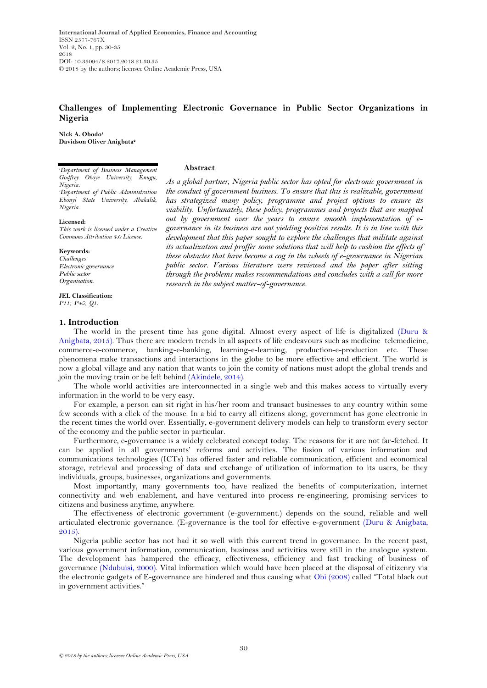**International Journal of Applied Economics, Finance and Accounting** ISSN 2577-767X Vol. 2, No. 1, pp. 30-35 2018 DOI: 10.33094/8.2017.2018.21.30.35 © 2018 by the authors; licensee Online Academic Press, USA

# **Challenges of Implementing Electronic Governance in Public Sector Organizations in Nigeria**

**Abstract**

**Nick A. Obodo<sup>1</sup> Davidson Oliver Anigbata<sup>2</sup>**

*<sup>1</sup>Department of Business Management Godfrey Okoye University, Enugu, Nigeria. <sup>2</sup>Department of Public Administration Ebonyi State University, Abakalik, Nigeria.*

**Licensed:** 

*This work is licensed under a Creative Commons Attribution 4.0 License.* 

**Keywords:** *Challenges Electronic governance Public sector Organisation.*

**JEL Classification:**  *P11; P45; Q1.*

## **1. Introduction**

*As a global partner, Nigeria public sector has opted for electronic government in the conduct of government business. To ensure that this is realizable, government has strategized many policy, programme and project options to ensure its viability. Unfortunately, these policy, programmes and projects that are mapped out by government over the years to ensure smooth implementation of egovernance in its business are not yielding positive results. It is in line with this development that this paper sought to explore the challenges that militate against its actualization and proffer some solutions that will help to cushion the effects of these obstacles that have become a cog in the wheels of e-governance in Nigerian public sector. Various literature were reviewed and the paper after sitting through the problems makes recommendations and concludes with a call for more research in the subject matter-of-governance.*

The world in the present time has gone digital. Almost every aspect of life is digitalized [\(Duru &](#page-4-0)  [Anigbata, 2015\)](#page-4-0). Thus there are modern trends in all aspects of life endeavours such as medicine–telemedicine, commerce-e-commerce, banking-e-banking, learning-e-learning, production-e-production etc. These phenomena make transactions and interactions in the globe to be more effective and efficient. The world is now a global village and any nation that wants to join the comity of nations must adopt the global trends and join the moving train or be left behind [\(Akindele, 2014\)](#page-4-1).

The whole world activities are interconnected in a single web and this makes access to virtually every information in the world to be very easy.

For example, a person can sit right in his/her room and transact businesses to any country within some few seconds with a click of the mouse. In a bid to carry all citizens along, government has gone electronic in the recent times the world over. Essentially, e-government delivery models can help to transform every sector of the economy and the public sector in particular.

Furthermore, e-governance is a widely celebrated concept today. The reasons for it are not far-fetched. It can be applied in all governments' reforms and activities. The fusion of various information and communications technologies (ICTs) has offered faster and reliable communication, efficient and economical storage, retrieval and processing of data and exchange of utilization of information to its users, be they individuals, groups, businesses, organizations and governments.

Most importantly, many governments too, have realized the benefits of computerization, internet connectivity and web enablement, and have ventured into process re-engineering, promising services to citizens and business anytime, anywhere.

The effectiveness of electronic government (e-government.) depends on the sound, reliable and well articulated electronic governance. (E-governance is the tool for effective e-government [\(Duru & Anigbata,](#page-4-0)  [2015\)](#page-4-0).

Nigeria public sector has not had it so well with this current trend in governance. In the recent past, various government information, communication, business and activities were still in the analogue system. The development has hampered the efficacy, effectiveness, efficiency and fast tracking of business of governance [\(Ndubuisi, 2000\)](#page-5-0). Vital information which would have been placed at the disposal of citizenry via the electronic gadgets of E-governance are hindered and thus causing what [Obi \(2008\)](#page-5-1) called "Total black out in government activities."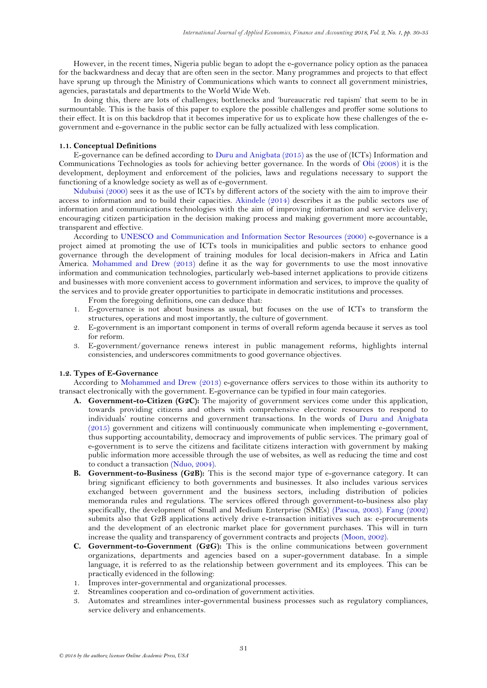However, in the recent times, Nigeria public began to adopt the e-governance policy option as the panacea for the backwardness and decay that are often seen in the sector. Many programmes and projects to that effect have sprung up through the Ministry of Communications which wants to connect all government ministries, agencies, parastatals and departments to the World Wide Web.

In doing this, there are lots of challenges; bottlenecks and "bureaucratic red tapism" that seem to be in surmountable. This is the basis of this paper to explore the possible challenges and proffer some solutions to their effect. It is on this backdrop that it becomes imperative for us to explicate how these challenges of the egovernment and e-governance in the public sector can be fully actualized with less complication.

## **1.1. Conceptual Definitions**

E-governance can be defined according to [Duru and Anigbata \(2015\)](#page-4-0) as the use of (ICTs) Information and Communications Technologies as tools for achieving better governance. In the words of [Obi \(2008\)](#page-5-1) it is the development, deployment and enforcement of the policies, laws and regulations necessary to support the functioning of a knowledge society as well as of e-government.

[Ndubuisi \(2000\)](#page-5-0) sees it as the use of ICTs by different actors of the society with the aim to improve their access to information and to build their capacities. [Akindele \(2014\)](#page-4-1) describes it as the public sectors use of information and communications technologies with the aim of improving information and service delivery; encouraging citizen participation in the decision making process and making government more accountable, transparent and effective.

According to [UNESCO and Communication and Information Sector Resources \(2000\)](#page-5-2) e-governance is a project aimed at promoting the use of ICTs tools in municipalities and public sectors to enhance good governance through the development of training modules for local decision-makers in Africa and Latin America. [Mohammed and Drew \(2013\)](#page-4-2) define it as the way for governments to use the most innovative information and communication technologies, particularly web-based internet applications to provide citizens and businesses with more convenient access to government information and services, to improve the quality of the services and to provide greater opportunities to participate in democratic institutions and processes.

From the foregoing definitions, one can deduce that:

- 1. E-governance is not about business as usual, but focuses on the use of ICTs to transform the structures, operations and most importantly, the culture of government.
- 2. E-government is an important component in terms of overall reform agenda because it serves as tool for reform.
- 3. E-government/governance renews interest in public management reforms, highlights internal consistencies, and underscores commitments to good governance objectives.

#### **1.2. Types of E-Governance**

According to [Mohammed and Drew \(2013\)](#page-4-2) e-governance offers services to those within its authority to transact electronically with the government. E-governance can be typified in four main categories.

- **A. Government-to-Citizen (G2C):** The majority of government services come under this application, towards providing citizens and others with comprehensive electronic resources to respond to individuals" routine concerns and government transactions. In the words of [Duru and Anigbata](#page-4-0)  [\(2015\)](#page-4-0) government and citizens will continuously communicate when implementing e-government, thus supporting accountability, democracy and improvements of public services. The primary goal of e-government is to serve the citizens and facilitate citizens interaction with government by making public information more accessible through the use of websites, as well as reducing the time and cost to conduct a transaction [\(Nduo, 2004\)](#page-5-3).
- **B. Government-to-Business (G2B):** This is the second major type of e-governance category. It can bring significant efficiency to both governments and businesses. It also includes various services exchanged between government and the business sectors, including distribution of policies memoranda rules and regulations. The services offered through government-to-business also play specifically, the development of Small and Medium Enterprise (SMEs) [\(Pascua, 2003\)](#page-5-4). [Fang \(2002\)](#page-4-3) submits also that G2B applications actively drive e-transaction initiatives such as: e-procurements and the development of an electronic market place for government purchases. This will in turn increase the quality and transparency of government contracts and projects [\(Moon, 2002\)](#page-5-5).
- **C. Government-to-Government (G2G):** This is the online communications between government organizations, departments and agencies based on a super-government database. In a simple language, it is referred to as the relationship between government and its employees. This can be practically evidenced in the following:
- 1. Improves inter-governmental and organizational processes.
- 2. Streamlines cooperation and co-ordination of government activities.
- 3. Automates and streamlines inter-governmental business processes such as regulatory compliances, service delivery and enhancements.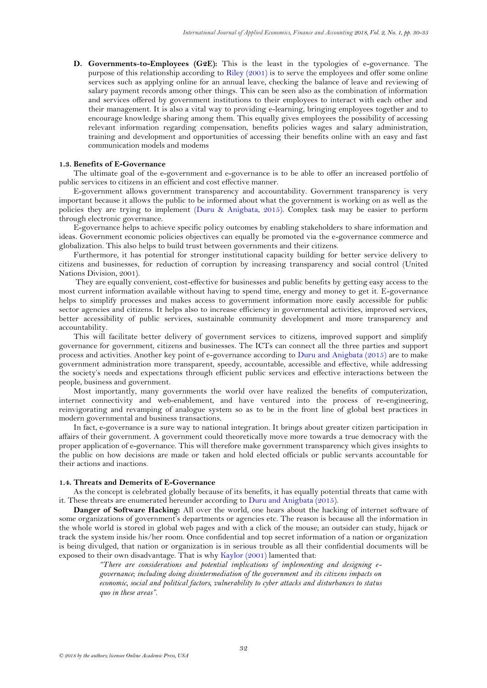**D. Governments**-**to-Employees (G2E):** This is the least in the typologies of e-governance. The purpose of this relationship according to [Riley \(2001\)](#page-5-6) is to serve the employees and offer some online services such as applying online for an annual leave, checking the balance of leave and reviewing of salary payment records among other things. This can be seen also as the combination of information and services offered by government institutions to their employees to interact with each other and their management. It is also a vital way to providing e-learning, bringing employees together and to encourage knowledge sharing among them. This equally gives employees the possibility of accessing relevant information regarding compensation, benefits policies wages and salary administration, training and development and opportunities of accessing their benefits online with an easy and fast communication models and modems

## **1.3. Benefits of E-Governance**

The ultimate goal of the e-government and e-governance is to be able to offer an increased portfolio of public services to citizens in an efficient and cost effective manner.

E-government allows government transparency and accountability. Government transparency is very important because it allows the public to be informed about what the government is working on as well as the policies they are trying to implement [\(Duru & Anigbata, 2015\)](#page-4-0). Complex task may be easier to perform through electronic governance.

E-governance helps to achieve specific policy outcomes by enabling stakeholders to share information and ideas. Government economic policies objectives can equally be promoted via the e-governance commerce and globalization. This also helps to build trust between governments and their citizens.

Furthermore, it has potential for stronger institutional capacity building for better service delivery to citizens and businesses, for reduction of corruption by increasing transparency and social control (United Nations Division, 2001).

They are equally convenient, cost-effective for businesses and public benefits by getting easy access to the most current information available without having to spend time, energy and money to get it. E-governance helps to simplify processes and makes access to government information more easily accessible for public sector agencies and citizens. It helps also to increase efficiency in governmental activities, improved services, better accessibility of public services, sustainable community development and more transparency and accountability.

This will facilitate better delivery of government services to citizens, improved support and simplify governance for government, citizens and businesses. The ICTs can connect all the three parties and support process and activities. Another key point of e-governance according to [Duru and Anigbata \(2015\)](#page-4-0) are to make government administration more transparent, speedy, accountable, accessible and effective, while addressing the society"s needs and expectations through efficient public services and effective interactions between the people, business and government.

Most importantly, many governments the world over have realized the benefits of computerization, internet connectivity and web-enablement, and have ventured into the process of re-engineering, reinvigorating and revamping of analogue system so as to be in the front line of global best practices in modern governmental and business transactions.

In fact, e-governance is a sure way to national integration. It brings about greater citizen participation in affairs of their government. A government could theoretically move more towards a true democracy with the proper application of e-governance. This will therefore make government transparency which gives insights to the public on how decisions are made or taken and hold elected officials or public servants accountable for their actions and inactions.

#### **1.4. Threats and Demerits of E-Governance**

As the concept is celebrated globally because of its benefits, it has equally potential threats that came with it. These threats are enumerated hereunder according to [Duru and Anigbata \(2015\)](#page-4-0).

**Danger of Software Hacking:** All over the world, one hears about the hacking of internet software of some organizations of government's departments or agencies etc. The reason is because all the information in the whole world is stored in global web pages and with a click of the mouse; an outsider can study, hijack or track the system inside his/her room. Once confidential and top secret information of a nation or organization is being divulged, that nation or organization is in serious trouble as all their confidential documents will be exposed to their own disadvantage. That is wh[y Kaylor \(2001\)](#page-4-4) lamented that:

> *"There are considerations and potential implications of implementing and designing egovernance; including doing disintermediation of the government and its citizens impacts on economic, social and political factors, vulnerability to cyber attacks and disturbances to status quo in these areas".*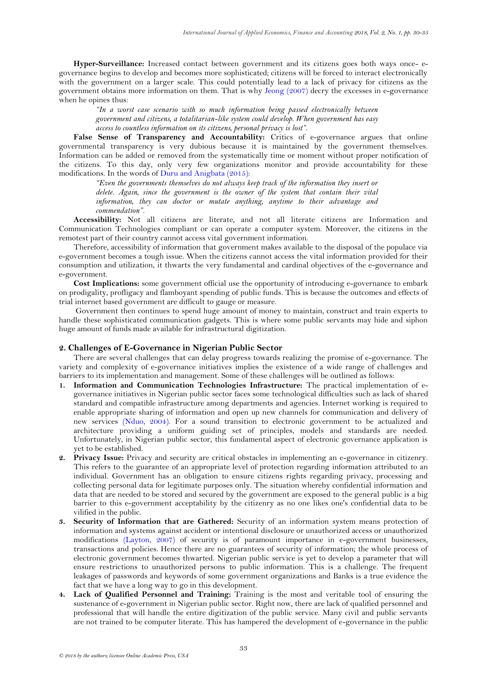**Hyper-Surveillance:** Increased contact between government and its citizens goes both ways once- egovernance begins to develop and becomes more sophisticated; citizens will be forced to interact electronically with the government on a larger scale. This could potentially lead to a lack of privacy for citizens as the government obtains more information on them. That is why [Jeong \(2007\)](#page-4-5) decry the excesses in e-governance when he opines thus:

*"In a worst case scenario with so much information being passed electronically between government and citizens, a totalitarian-like system could develop. When government has easy access to countless information on its citizens, personal privacy is lost".* 

False Sense of Transparency and Accountability: Critics of e-governance argues that online governmental transparency is very dubious because it is maintained by the government themselves. Information can be added or removed from the systematically time or moment without proper notification of the citizens. To this day, only very few organizations monitor and provide accountability for these modifications. In the words of [Duru and Anigbata \(2015\)](#page-4-0):

> *"Even the governments themselves do not always keep track of the information they insert or delete. Again, since the government is the owner of the system that contain their vital information, they can doctor or mutate anything, anytime to their advantage and commendation".*

**Accessibility:** Not all citizens are literate, and not all literate citizens are Information and Communication Technologies compliant or can operate a computer system. Moreover, the citizens in the remotest part of their country cannot access vital government information.

Therefore, accessibility of information that government makes available to the disposal of the populace via e-government becomes a tough issue. When the citizens cannot access the vital information provided for their consumption and utilization, it thwarts the very fundamental and cardinal objectives of the e-governance and e-government.

**Cost Implications:** some government official use the opportunity of introducing e-governance to embark on prodigality, profligacy and flamboyant spending of public funds. This is because the outcomes and effects of trial internet based government are difficult to gauge or measure.

Government then continues to spend huge amount of money to maintain, construct and train experts to handle these sophisticated communication gadgets. This is where some public servants may hide and siphon huge amount of funds made available for infrastructural digitization.

#### **2. Challenges of E-Governance in Nigerian Public Sector**

There are several challenges that can delay progress towards realizing the promise of e-governance. The variety and complexity of e-governance initiatives implies the existence of a wide range of challenges and barriers to its implementation and management. Some of these challenges will be outlined as follows:

- **1. Information and Communication Technologies Infrastructure:** The practical implementation of egovernance initiatives in Nigerian public sector faces some technological difficulties such as lack of shared standard and compatible infrastructure among departments and agencies. Internet working is required to enable appropriate sharing of information and open up new channels for communication and delivery of new services [\(Nduo, 2004\)](#page-5-3). For a sound transition to electronic government to be actualized and architecture providing a uniform guiding set of principles, models and standards are needed. Unfortunately, in Nigerian public sector, this fundamental aspect of electronic governance application is yet to be established.
- **2. Privacy Issue:** Privacy and security are critical obstacles in implementing an e-governance in citizenry. This refers to the guarantee of an appropriate level of protection regarding information attributed to an individual. Government has an obligation to ensure citizens rights regarding privacy, processing and collecting personal data for legitimate purposes only. The situation whereby confidential information and data that are needed to be stored and secured by the government are exposed to the general public is a big barrier to this e-government acceptability by the citizenry as no one likes one's confidential data to be vilified in the public.
- **3. Security of Information that are Gathered:** Security of an information system means protection of information and systems against accident or intentional disclosure or unauthorized access or unauthorized modifications [\(Layton, 2007\)](#page-4-6) of security is of paramount importance in e-government businesses, transactions and policies. Hence there are no guarantees of security of information; the whole process of electronic government becomes thwarted. Nigerian public service is yet to develop a parameter that will ensure restrictions to unauthorized persons to public information. This is a challenge. The frequent leakages of passwords and keywords of some government organizations and Banks is a true evidence the fact that we have a long way to go in this development.
- **4. Lack of Qualified Personnel and Training:** Training is the most and veritable tool of ensuring the sustenance of e-government in Nigerian public sector. Right now, there are lack of qualified personnel and professional that will handle the entire digitization of the public service. Many civil and public servants are not trained to be computer literate. This has hampered the development of e-governance in the public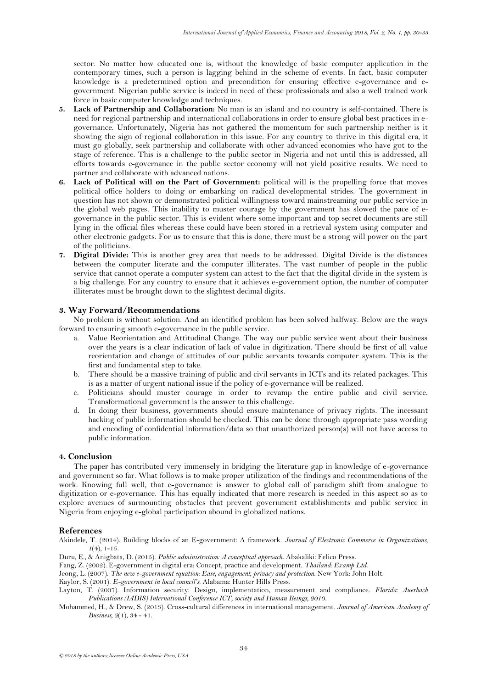sector. No matter how educated one is, without the knowledge of basic computer application in the contemporary times, such a person is lagging behind in the scheme of events. In fact, basic computer knowledge is a predetermined option and precondition for ensuring effective e-governance and egovernment. Nigerian public service is indeed in need of these professionals and also a well trained work force in basic computer knowledge and techniques.

- **5. Lack of Partnership and Collaboration:** No man is an island and no country is self-contained. There is need for regional partnership and international collaborations in order to ensure global best practices in egovernance. Unfortunately, Nigeria has not gathered the momentum for such partnership neither is it showing the sign of regional collaboration in this issue. For any country to thrive in this digital era, it must go globally, seek partnership and collaborate with other advanced economies who have got to the stage of reference. This is a challenge to the public sector in Nigeria and not until this is addressed, all efforts towards e-governance in the public sector economy will not yield positive results. We need to partner and collaborate with advanced nations.
- **6. Lack of Political will on the Part of Government:** political will is the propelling force that moves political office holders to doing or embarking on radical developmental strides. The government in question has not shown or demonstrated political willingness toward mainstreaming our public service in the global web pages. This inability to muster courage by the government has slowed the pace of egovernance in the public sector. This is evident where some important and top secret documents are still lying in the official files whereas these could have been stored in a retrieval system using computer and other electronic gadgets. For us to ensure that this is done, there must be a strong will power on the part of the politicians.
- **7. Digital Divide:** This is another grey area that needs to be addressed. Digital Divide is the distances between the computer literate and the computer illiterates. The vast number of people in the public service that cannot operate a computer system can attest to the fact that the digital divide in the system is a big challenge. For any country to ensure that it achieves e-government option, the number of computer illiterates must be brought down to the slightest decimal digits.

# **3. Way Forward/Recommendations**

No problem is without solution. And an identified problem has been solved halfway. Below are the ways forward to ensuring smooth e-governance in the public service.

- a. Value Reorientation and Attitudinal Change. The way our public service went about their business over the years is a clear indication of lack of value in digitization. There should be first of all value reorientation and change of attitudes of our public servants towards computer system. This is the first and fundamental step to take.
- b. There should be a massive training of public and civil servants in ICTs and its related packages. This is as a matter of urgent national issue if the policy of e-governance will be realized.
- c. Politicians should muster courage in order to revamp the entire public and civil service. Transformational government is the answer to this challenge.
- d. In doing their business, governments should ensure maintenance of privacy rights. The incessant hacking of public information should be checked. This can be done through appropriate pass wording and encoding of confidential information/data so that unauthorized person(s) will not have access to public information.

## **4. Conclusion**

The paper has contributed very immensely in bridging the literature gap in knowledge of e-governance and government so far. What follows is to make proper utilization of the findings and recommendations of the work. Knowing full well, that e-governance is answer to global call of paradigm shift from analogue to digitization or e-governance. This has equally indicated that more research is needed in this aspect so as to explore avenues of surmounting obstacles that prevent government establishments and public service in Nigeria from enjoying e-global participation abound in globalized nations.

#### **References**

<span id="page-4-1"></span>Akindele, T. (2014). Building blocks of an E-government: A framework. *Journal of Electronic Commerce in Organizations,*   $I(4)$ , 1-15.

<span id="page-4-0"></span>Duru, E., & Anigbata, D. (2015). *Public administration: A conceptual approach*. Abakaliki: Felico Press.

<span id="page-4-3"></span>Fang, Z. (2002). E-government in digital era: Concept, practice and development. *Thailand: Examp Ltd*.

<span id="page-4-5"></span>Jeong, L. (2007). *The new e-government equation: Ease, engagement, privacy and protection*. New York: John Holt.

<span id="page-4-4"></span>Kaylor, S. (2001). *E-government in local council's*. Alabama: Hunter Hills Press.

<span id="page-4-6"></span>Layton, T. (2007). Information security: Design, implementation, measurement and compliance. *Florida: Auerbach Publications (IADIS) International Conference ICT, society and Human Beings, 2010*.

<span id="page-4-2"></span>Mohammed, H., & Drew, S. (2013). Cross-cultural differences in international management. *Journal of American Academy of Business, 2*(1), 34 - 41.